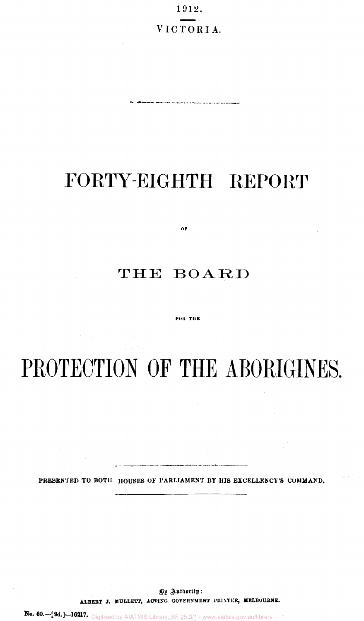1912. VICTORIA.

.<br>1911 - Manufactus and announced at the first state of the age of an analysis with

## FORTY-EIGHTH REPORT

### THE BOARD

 $\overline{OP}$ 

#### **FOR THE**

# PROTECTION OF THE ABORIGINES.

PRESENTED TO BOTH HOUSES OF PARLIAMENT BY HIS EXCELLENCY'S COMMAND.

.<br>Andrea de la final de la construcción de la construcción de la final de la construcción de la construcción de

By Authority: **ALBERT J. M0LLETT, ACTING GOVERNMENT PRINTER, MELBOURNE.** 

**No. 60.— [9d.]- 16217.**  Digitised by AIATSIS Library, SF 25.3/1 - www.aiatsis.gov.au/library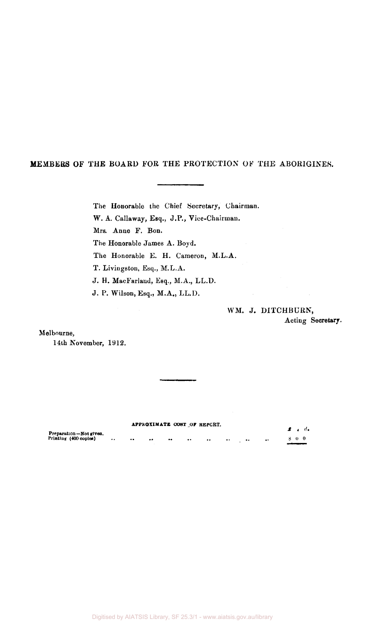#### MEMBERS OF THE BOARD FOR THE PROTECTION OF THE ABORIGINES.

The Honorable the Chief Secretary, Chairman. W. A. Callaway, Esq., J.P., Vice-Chairman. Mrs. Anne F. Bon. The Honorable James A. Boyd. The Honorable E. H. Cameron, M.L.A. T. Livingston, Esq., M.L.A. J. H. MacFarland, Esq., M.A., LL.D. J. P. Wilson, Esq., M.A., LL.D.

> WM. J. DITCHBURN, Acting Secretary.

Melbourne,

14th November, 1912.

#### **APPROXIMATE COST OF REPCRT.**

|                        |               |                  | an revenue of the neutries. |                  |                  |         |           |                  |     | $\mathbf{f}$ and $\mathbf{f}$ |
|------------------------|---------------|------------------|-----------------------------|------------------|------------------|---------|-----------|------------------|-----|-------------------------------|
| Preparation-Not given. |               |                  |                             |                  |                  |         |           |                  |     |                               |
| Printing (400 copies)  | <br>$\bullet$ | $\bullet\bullet$ | $^{\bullet\bullet}$         | $\bullet\bullet$ | $\bullet\bullet$ | $\cdot$ | $\bullet$ | $\bullet\bullet$ | 800 |                               |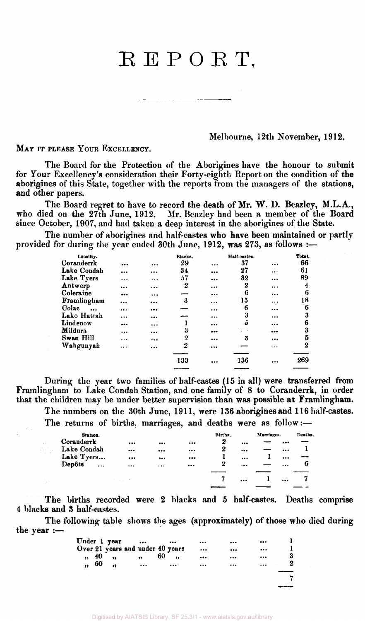### **R E P O R T,**

Melbourne, 12th November, 1912.

MAY IT PLEASE YOUR EXCELLENCY.

The Board for the Protection of the Aborigines have the honour to submit for Your Excellency's consideration their Forty-eighth Report on the condition of the aborigines of this State, together with the reports from the managers of the stations, and other papers.

The Board regret to have to record the death of Mr. W. D. Beazley, M.L.A., who died on the 27th June, 1912. Mr. Beazley had been a member of the Board since October, 1907, and had taken a deep interest in the aborigines of the State.

The number of aborigines and half-castes who have been maintained or partly provided for during the year ended 30th June, 1912, was 273, as follows :—

| Locality.   |          |          | Blacks.          |           | Half-castes. |           | Total.           |
|-------------|----------|----------|------------------|-----------|--------------|-----------|------------------|
| Coranderrk  |          |          | 29               | $\cdots$  | 37           |           | 66               |
| Lake Condah |          |          | 34               |           | 27           |           | 61               |
| Lake Tyers  | $\cdots$ |          | 57               |           | 32           |           | 89               |
| Antwerp     |          |          | 2                |           | 2            | $\cdots$  | 4                |
| Coleraine   |          |          |                  |           | 6            | $\cdots$  | 6                |
| Framlingham | $\cdots$ |          | 3                | $\cdots$  | 15           |           | 18               |
| Colac       |          |          |                  | $\ddotsc$ | 6            |           | 6                |
| Lake Hattah |          |          |                  |           | 3            | .         | 3                |
| Lindenow    |          |          |                  | $\cdots$  | ő            | $\cdots$  | 6                |
| Mildura     |          |          | 3                |           |              |           | 3                |
| Swan Hill   | $\cdots$ |          | $\overline{2}$   |           | 3            |           | 5                |
| Wahgunyah   |          | $\cdots$ | $\boldsymbol{2}$ |           |              | $\ddotsc$ | $\boldsymbol{2}$ |
|             |          |          |                  |           |              |           |                  |
|             |          |          | 133              |           | 136          |           | 269              |
|             |          |          |                  |           |              |           |                  |

During the year two families of half-castes (15 in all) were transferred from Framlingham to Lake Condah Station, and one family of 8 to Coranderrk, in order that the children may be under better supervision than was possible at Framlingham.

The numbers on the 30th June, 1911, were 136 aborigines and 116 half-castes.

The returns of births, marriages, and deaths were as follow:—

| Station.            |                         |                         |                         | Births,  |          | Marriages. |                         | Deaths. |
|---------------------|-------------------------|-------------------------|-------------------------|----------|----------|------------|-------------------------|---------|
| Coranderrk          | $\bullet\bullet\bullet$ | $\bullet\bullet\bullet$ | $\bullet\bullet\bullet$ | 2        | $\cdots$ |            |                         |         |
| Lake Condah         |                         | $\bullet\bullet\bullet$ | $\cdots$                | $\bf{2}$ | $\cdots$ |            | $\cdots$                |         |
| Lake Tyers          |                         | $\bullet\bullet\bullet$ |                         |          | $\cdots$ |            | $\bullet\bullet\bullet$ |         |
| Depôts<br>$\ddotsc$ |                         | $\cdots$                | $\cdots$                | 2        |          |            | $\cdots$                | 6       |
|                     |                         |                         |                         |          |          |            |                         |         |
|                     |                         |                         |                         | 7        | $\cdots$ |            |                         |         |
|                     |                         |                         |                         |          |          |            |                         |         |

The births recorded were 2 blacks and 5 half-castes. Deaths comprise 4 blacks and 3 half-castes.

The following table shows the ages (approximately) of those who died during the year :—

|           |       | Under 1 year     | $\bullet\bullet\bullet$          | $\bullet\bullet\bullet$ |                         |          | $\bullet\bullet\bullet$ |  |
|-----------|-------|------------------|----------------------------------|-------------------------|-------------------------|----------|-------------------------|--|
|           |       |                  | Over 21 years and under 40 years |                         | $\cdots$                | $\cdots$ | $\cdots$                |  |
|           | ,, 40 | $\bullet\bullet$ | ,                                | 60<br>                  | $\bullet\bullet\bullet$ |          | $\cdots$                |  |
| $\bullet$ | - 60  | $^{\bullet}$     | $\cdots$                         |                         |                         |          | $\cdots$                |  |
|           |       |                  |                                  |                         |                         |          |                         |  |
|           |       |                  |                                  |                         |                         |          |                         |  |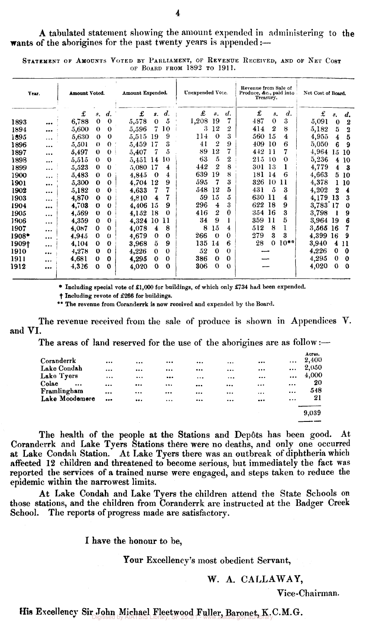A tabulated statement showing the amount expended in administering to the wants of the aborigines for the past twenty years is appended :-

| Year. |           | Amount Voted. |              |                    | Amount Expended. |                         |                    | Unexpended Vote. |                         |                  | Revenue from Sale of<br>Produce, &c., paid into | Treasury.        |                    | Net Cost of Board. |                         |                         |
|-------|-----------|---------------|--------------|--------------------|------------------|-------------------------|--------------------|------------------|-------------------------|------------------|-------------------------------------------------|------------------|--------------------|--------------------|-------------------------|-------------------------|
|       |           | £             | $s_{\star}$  | $\boldsymbol{d}$ . | £                | $s$ .                   | $\boldsymbol{d}$ . | £                | 8.                      | d.               | £                                               | <b>s.</b>        | $\boldsymbol{d}$ . | £                  | 8.                      | $\boldsymbol{d.}$       |
| 1893  |           | 6,788         | $\mathbf 0$  | $\mathbf 0$        | 5,578            | $\theta$                | 5                  | 1,208            | 19                      |                  | 487                                             | $\theta$         | $\boldsymbol{3}$   | 5,091              | $\mathbf 0$             | $\boldsymbol{2}$        |
| 1894  | $\cdots$  | 5,600         | $\theta$     | $\mathbf 0$        | 5,596            | 7                       | 10                 | 3                | 12                      | 2                | 414                                             | $\boldsymbol{2}$ | 8                  | 5,182              | 5                       | $\overline{\mathbf{3}}$ |
| 1895  | .         | 5,630         | $\theta$     | $\bf{0}$           | 5,515            | 19                      | 9                  | 114              | $\Omega$                | 3                | 560                                             | 15               | 4                  | 4,955              | 4                       | $\bf{5}$                |
| 1896  |           | 5,501         | $\Omega$     | $\theta$           | 5,459            | 17                      | 3                  | 41               | 2                       | 9                | 409                                             | 10               | 6                  | 5,050              | 6                       | 9                       |
| 1897  |           | 5,497         | $\Omega$     | $\theta$           | 5,407            | 7                       | 5                  | 89               | 12                      | 7                | 442                                             | 11               | 7                  | 4,964              | 15                      | 10                      |
| 1898  | $\cdots$  | 5,515         | $\Omega$     | $\theta$           | 5,451            | 14                      | 10                 | 63               | 5                       | $\boldsymbol{2}$ | 215                                             | 10               | $\Omega$           | 5,236              | 4                       | 10                      |
| 1899  | $\cdots$  | 5,523         | $\bf{0}$     | $\bf{0}$           | 5,080            | 17                      | 4                  | 442              | 2                       | 8                | 301                                             | 13               | 1                  | 4,779              | $\overline{\mathbf{4}}$ | - 3                     |
| 1900  |           | 5,483         | $\theta$     | $\theta$           | 4,845            | $\Omega$                | 4                  | 639              | 19                      | 8                | 181                                             | 14               | 6                  | 4,663              | 5                       | 10                      |
| 1901  |           | 5,300         | $\bf{0}$     | $\theta$           | 4,704            | 12                      | 9                  | 595              | 7                       | 3                | 326                                             | 10               | 11                 | 4,378              |                         | 10                      |
| 1902  |           | 5,182         | $\bf{0}$     | $\bf{0}$           | 4,633            | 7                       | 7                  | 548              | 12                      | 5                | 431                                             | 5                | 3                  | 4,202              | 2                       | $\overline{\mathbf{4}}$ |
| 1903  |           | 4,870         | $\bf{0}$     | $\bf{0}$           | 4,810            | $\overline{\mathbf{4}}$ | 7                  | 59               | 15                      | 5                | 630                                             | -11              | 4                  | 4,179 13           |                         | 3                       |
| 1904  |           | 4,703         | $\Omega$     | $\theta$           | 4,406            | 15                      | 9                  | 296              | $\overline{\mathbf{4}}$ | 3                | 622                                             | 18               | 9                  | 3,783 17           |                         | $\bf{0}$                |
| 1905  | $\ddotsc$ | 4,569         | $\bf{0}$     | $\Omega$           | 4,152            | 18                      | $\bf{0}$           | 416              | $\boldsymbol{2}$        | $\theta$         | 354 16                                          |                  | 3                  | 3,798              |                         | 9                       |
| 1906  | $\cdots$  | 4,359         | $\mathbf{0}$ | $\bf{0}$           | 4,324            | 10                      | 11                 | 34               | 9                       |                  | 359                                             | 11               | 5                  | 3,964 19           |                         | 6                       |
| 1907  |           | 4,087         | $\bf{0}$     | $\bf{0}$           | 4,078            | 4                       | 8                  | 8                | 15                      | 4                | 512                                             | 8                | 1                  | 3,565              | -16                     | 7                       |
| 1908* | $\cdots$  | 4.945         | $\bf{0}$     | $\theta$           | 4,679            | $\bf{0}$                | $\bf{0}$           | 266              | $\theta$                | $\bf{0}$         | 279                                             | 3                | 3                  | 4,399              | 16                      | 9                       |
| 1909† | $\cdots$  | 4.104         | $\mathbf{0}$ | $\Omega$           | 3,968            | ŏ.                      | 9                  | 135              | 14                      | 6                | 28                                              | $\Omega$         | $10**$             | 3,940              | $\overline{\mathbf{4}}$ | 11                      |
| 1910  | $\cdots$  | 4,278         | $\bf{0}$     | $\bf{0}$           | 4,226            | $\mathbf{0}$            | $\mathbf 0$        | $52\,$           | $\bf{0}$                | $\theta$         |                                                 |                  |                    | 4,226              | $\bf{0}$                | $\bf{0}$                |
| 1911  | $\cdots$  | 4,681         | $\Omega$     | $\bf{0}$           | 4,295            | $\bf{0}$                | $\bf{0}$           | 386              | $\Omega$                | $\bf{0}$         |                                                 |                  |                    | 4,295              | $\bf{0}$                | $\mathbf 0$             |
| 1912  |           | 4,326         | $\Omega$     | $\Omega$           | 4,020            | $\bf{0}$                | $\bf{0}$           | 306              | $\bf{0}$                | $\theta$         |                                                 |                  |                    | 4,020              | $\mathbf 0$             | $\bf{0}$                |

STATEMENT OF AMOUNTS VOTED BY PARLIAMENT, OF REVENUE RECEIVED, AND OF NET COST OF BOARD FROM 1892 TO 1911.

\* Including special vote of £1,000 for buildings, of which only £734 had been expended.

Including revote of £266 for buildings.

\*\* The revenue from Coranderrk is now received and expended by the Board.

and VI. **[.**  The revenue received from the sale of produce is shown in Appendices V.

The areas of land reserved for the use of the aborigines are as follow:—

|                   |                         |           |                         |          |          |              | Acres. |
|-------------------|-------------------------|-----------|-------------------------|----------|----------|--------------|--------|
| Coranderrk        | $\cdots$                |           |                         | $\cdots$ |          | <br>$\cdots$ | 2,400  |
| Lake Condah       | $\cdots$                |           |                         |          |          | <br>         | 2,050  |
| Lake Tyers        | $\cdots$                | $\ddotsc$ | $\bullet\bullet\bullet$ | $\cdots$ | $\cdots$ | <br>$\cdots$ | 4,000  |
| Colac<br>$\cdots$ |                         |           |                         |          |          | <br>         | 20     |
| Framlingham       |                         | $\cdots$  | $\cdots$                | $\cdots$ |          | <br>$\cdots$ | 548    |
| Lake Moodemere    | $\bullet\bullet\bullet$ |           | $\cdots$                | $\cdots$ |          | <br>$\cdots$ | 21     |
|                   |                         |           |                         |          |          |              |        |
|                   |                         |           |                         |          |          |              | 9,039  |

The health of the people at the Stations and Dep6ts has been good. At Coranderrk and Lake Tyers Stations there were no deaths, and only one occurred at Lake Condah Station. At Lake Tyers there was an outbreak of diphtheria which affected 12 children and threatened to become serious, but immediately the fact was reported the services of a trained nurse were engaged, and steps taken to reduce the epidemic within the narrowest limits.

At Lake Condah and Lake Tyers the children attend the State Schools on those stations, and the children from Coranderrk are instructed at the Badger Creek School. The reports of progress made are satisfactory.

I have the honour to be,

Your Excellency's most obedient Servant,

### W. A. CALLAWAY,

Vice-Chairman.

His Excellency Sir John Michael Fleetwood Fuller, Baronet, K.C.M.G. Digitised by AIATSIS Library, SF 25.3/1 - www.aiatsis.gov.au/library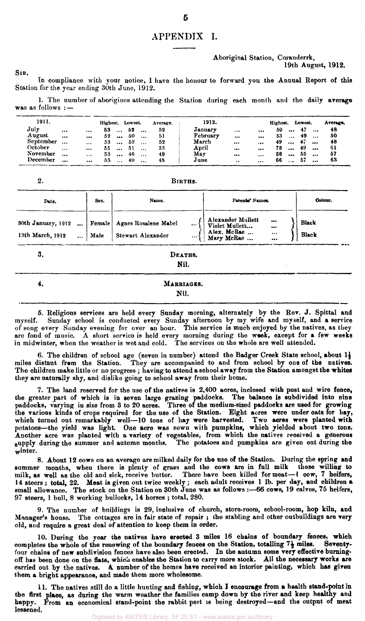#### APPENDIX I.

**Aboriginal Station, Coranderrk,** 

**19th August, 1912.** 

**In compliance with your notice, 1 have the honour to forward you the Annual Report of this Station for the year ending 30th June, 1912.** 

**1. The number of aborigines attending the Station during each month and the daily average was as follows : —** 

| 1911.     |           |           | Highest. Lowest. |           |    |            | Average. | 1912.    |               |           | Highest. |           | Lowest. |           | Average. |
|-----------|-----------|-----------|------------------|-----------|----|------------|----------|----------|---------------|-----------|----------|-----------|---------|-----------|----------|
| July      | $\cdots$  | $\ddotsc$ | 53               | $\ddotsc$ | 52 | $\cdots$   | 52       | January  | $\cdots$      |           | 50       | $\ddotsc$ | - 47    | $\ddotsc$ | 48       |
| August    | $\cdots$  |           | 52               | $\ddotsc$ | 50 | $\ddotsc$  | 51       | February |               | $\ddotsc$ | 53       | $\cdots$  | 49      | $\ddotsc$ | 50       |
| September | $\ddotsc$ | $\cdots$  | 53               | $\cdots$  | 52 | $\cdots$   | 52       | March    |               | $\cdots$  | 49.      | $\cdots$  | 47      | $\ddotsc$ |          |
| October   | $\cdots$  |           | 55               | $\cdots$  | 51 | $\ddotsc$  | 53       | April    |               |           | 78       |           | 49      | $\ddotsc$ | -61      |
| November  | $\ddotsc$ | $\cdots$  | 53.              | $\cdots$  | 46 | $\ddotsc$  | 49       | May      |               | $\cdots$  | 58       | $\ddotsc$ | 55      | $\cdots$  | -57      |
| December  | $\ddotsc$ | $\cdots$  | 55               | $\sim$    | 40 | $\dddotsc$ | 45       | June     | $\cdot \cdot$ | $\cdots$  | 66.      | $\ddotsc$ | -57     | $\ddotsc$ | 63       |

 $\overline{2}$ .

**SIR,** 

**BIRTHS.** 

| Date.                           | Sex. | Name.                                     | Parents' Names.                               | Colour.      |
|---------------------------------|------|-------------------------------------------|-----------------------------------------------|--------------|
| 30th January, 1912<br>$\ddotsc$ |      | Female   Agnes Rosalene Mabel<br>$\cdots$ | Alexander Mullett<br><br>Violet Mullett<br>$$ | <b>Black</b> |
| 13th March, 1912                | Male | Stewart Alexander<br>$\cdots$             | Alex. McRae<br>Mary McRae<br><br>             | Black        |

4.

**3. DEATHS.** 

**Nil.** 

#### **MARRIAGES. Nil.**

**5. Religious services are held every Sunday morning, alternately by the Rev. J. Spittal and myself. Sunday school is conducted every Sunday afternoon by my wife and myself, and a service of song every Sunday evening for over an hour. This service is much enjoyed by the natives, as they are fond of music. A short service is held every morning during the week, except for a few weeks in midwinter, when the weather is wet and cold. The services on the whole are well attended.** 

6. The children of school age (seven in number) attend the Badger Creek State school, about 1<sup>1</sup> **miles distant from the Station. They are accompanied to and from school by one of the natives. The children make little or no progress ; having to attend a school away from the Station amongst the whites they are naturally shy, and dislike going to school away from their home.** 

**7. The land reserved for the use of the natives is 2,400 acres, inclosed with post and wire fence, the greater part of which is in seven large grazing paddocks. The balance is subdivided into nine paddocks, varying in size from 3 to 20 acres. Three of the medium-sized paddocks are used for growing the various kinds of crops required for the use of the Station. Eight acres were under oats for hay, which turned out remarkably well—10 tons of hay were harvested. Two acres were planted with potatoes—the yield was light. One acre was sown with pumpkins, which yielded about two tons. Another acre was planted with a variety of vegetables, from which the natives received a generous supply daring the summer and autumn months. The potatoes and pumpkins are given out during the winter.** 

**8. About 12 cows on an average are milked daily for the use of the Station. During the spring and summer months, when there is plenty of grass and the cows are in full milk those willing to milk, as well as the old and sick, receive butter. There have been killed for meat—***1* **cow, 7 heifers, 14 steers ; total, 22. Meat is given out twice weekly; each adult receives 1 lb. per day, and children a**  small allowance. The stock on the Station on 30th June was as follows :- 66 cows, 19 calves, 75 heifers, **97 steers, 1 bull, 8 working bullocks, 14 horses ; total, 280.** 

**9. The number of buildings is 29, inclusive of church, store-room, school-room, hop kiln, and Manager's house. The cottages are in fair state of repair ; the stabling and other outbuildings are very old, and require a great deal of attention to keep them in order.** 

**10. During the year the natives have erected 3 miles 16 chains of boundary fences, which**  completes the whole of the renewing of the boundary fences on the Station, totalling 7<sup>1</sup> miles. four chains of new subdivision fences have also been erected. In the autumn some very effective burning**off has been done on the flats, which enables the Station to carry more stock. All the necessary works are carried out by the natives. A number of the homes have received an interior painting, which has given them a bright appearance, and made them more wholesome.** 

**11. The natives still do a little hunting and fishing, which I encourage from a health stand-point in the first place, as during the warm weather the families camp down by the river and keep healthy and**  happy. From an economical stand-point the rabbit pest is being destroyed-and the output of meat **lessened.**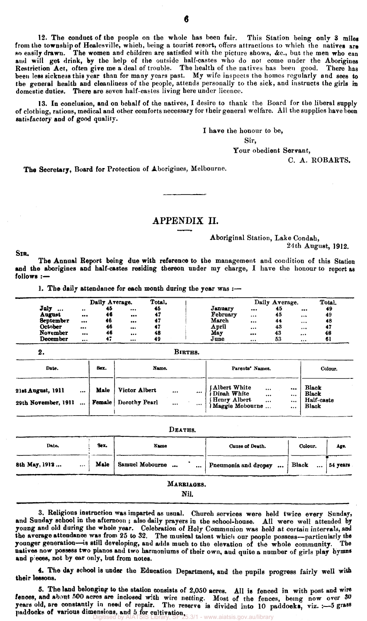12. The conduct of the people on the whole has been fair. This Station being only 3 miles from the township of Healesville, which, being a tourist resort, offers attractions to which the natives are so easily drawn. The women and children are satisfied with the picture shows, &c., but the men who can and will get drink, by the help of the outside half-castes who do not come under the Aborigines Restriction Act, often give me a deal of trouble. The health of the natives has been good. There has been less sickness this year than for many years past. My wife inspects the homes regularly and sees to the general health and cleanliness of the people, attends personally to the sick, and instructs the girls in domestic duties. There are seven half-castes living here under licence.

13. In conclusion, and on behalf of the natives, I desire to thank the Board for the liberal supply of clothing, rations, medical and other comforts necessary for their general welfare. All the supplies have been satisfactory and of good quality.

I have the honour to be,

Sir,

Your obedient Servant,

C. A. ROBARTS.

The Secretary, Board for Protection of Aborigines, Melbourne.

#### APPENDIX II.

Aboriginal Station, Lake Condah,

24th August, 1912.

SIR.

The Annual Report being due with reference to the management and condition of this Station and the aborigines and half-castes residing thereon under my charge, I have the honour to report as follows :—

1. The daily attendance for each month during the year was :-

|                  |          | Daily Average. |                         | Total. |          | Daily Average. | Total. |        |
|------------------|----------|----------------|-------------------------|--------|----------|----------------|--------|--------|
| July<br>         | $\cdots$ | 45             | $\cdots$                | 45     | January  |                | 45     | <br>49 |
| August           | $$       | 46             |                         | 47     | February |                | 45     | <br>49 |
| <b>September</b> |          | 46             |                         |        | March    |                | 44     | <br>48 |
| October          | $\cdots$ | 46             | $\cdots$                |        | April    | $\cdots$       | 43     | <br>47 |
| <b>November</b>  |          | 46             | $\bullet\bullet\bullet$ | 48     | May      |                | 43     | <br>48 |
| December         |          | 47             |                         | 49     | June     |                | 53     | <br>61 |

**2.** 

**BIRTHS .** 

| Date.                                                    | Sex. | Name.                                        |              |              | Parents' Names.                                                                  | Colour.                              |                                              |
|----------------------------------------------------------|------|----------------------------------------------|--------------|--------------|----------------------------------------------------------------------------------|--------------------------------------|----------------------------------------------|
| 21st August, 1911<br><br>29th November, 1911<br>$\cdots$ | Male | Victor Albert<br><b>Female</b> Dorothy Pearl | <br>$\cdots$ | <br>$\cdots$ | Albert White<br>Dinah White<br>$\cdots$<br><br>(Henry Albert<br>(Maggie Mobourne | <br>$\cdots$<br>$\cdots$<br>$\cdots$ | Black<br><b>Black</b><br>Half-caste<br>Black |

|                            |      | DEATHS.                      |                      |                   |          |
|----------------------------|------|------------------------------|----------------------|-------------------|----------|
| Sex.<br>Date.              |      | Name                         | Cause of Death.      | Colour.           | Age.     |
| 8th May, 1912<br>$\ddotsc$ | Male | Samuel Mobourne<br>$\ddotsc$ | Pneumonia and dropsy | Black<br>$\cdots$ | 54 years |
|                            |      | MARRIAGES.<br>Nil.           |                      |                   |          |

3. Religious instruction was imparted as usual. Church services were held twice every Sunday, and Sunday school in the afternoon ; also daily prayers in the school-house. All were well attended by young and old daring the whole year. Celebration of Holy Communion was held at certain intervals, and the average attendance was from 25 to 32. The musical talent which our people possess—particularly the younger generation—is still developing, and adds much to the elevation of the whole community. The natives now possess two pianos and two harmoniums of their own, and quite a number of girls play hymns and pieces, not by ear only, but from notes.

4. The day school is under the Education Department, and the pupils progress fairly well with their lessons.

5. The land belonging to the station consists of 2,050 acres. All is fenced in with post and wire fences, and about 500 acres are inclosed with wire netting. Most of the fences, being now over 30 years old, are constantly in need of repair. The reserve is divided into 10 paddocks, viz. :--- 5 grass paddocks of various dimensions, and 5 for cultivation.<br>Digitised by AIATSIS Library, SF 25.3/1 - www.aiatsis.gov.au/library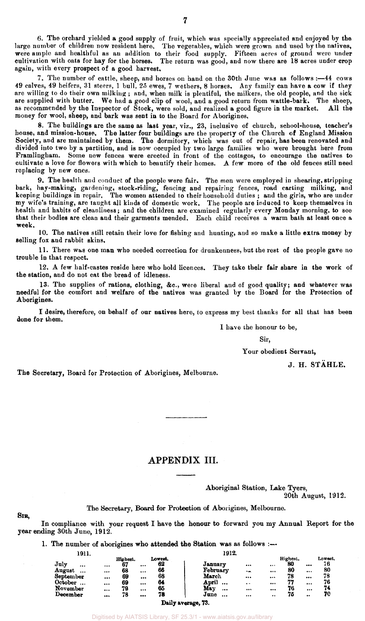6. The orchard yielded a good supply of fruit, which was specially appreciated and enjoyed by the large number of children now resident here. The vegetables, which were grown and used by the natives, were ample and healthful as an addition to their food supply. Fifteen acres of ground were under cultivation with oats for hay for the horses. The return was good, and now there are 18 acres under crop again, with every prospect of a good harvest.

7. The number of cattle, sheep, and horses on hand on the 30th June was as follows :—44 cows 49 calves, 49 heifers, 31 steers, 1 bull, 25 ewes, 7 wethers, 8 horses. Any family can have a cow if they are willing to do their own milking ; and, when milk is plentiful, the milkers, the old people, and the sick are supplied with butter. We had a good clip of wool, and a good return from wattle-bark. The sheep, as recommended by the Inspector of Stock, were sold, and realized a good figure in the market. All the money for wool, sheep, and bark was sent in to the Board for Aborigines,

8. The buildings are the same as last year, viz., 23, inclusive of church, school-house, teacher's house, and mission-house. The latter four buildings are the property of the Church of England Mission Society, and are maintained by them. The dormitory, which was out of repair, has been renovated and divided into two by a partition, and is now occupied by two large families who were brought here from Framlingham. Some new fences were erected in front of the cottages, to encourage the natives to cultivate a love for flowers with which to beautify their homes. A few more of the old fences still need replacing by new ones.

9. The health and conduct of the people were fair. The men were employed in shearing, stripping bark, hay-making, gardening, stock-riding, fencing and repairing fences, road carting milking, and keeping buildings in repair. The women attended to their household duties ; and the girls, who are under my wife's training, are taught all kinds of domestic work. The people are induced to keep themselves in health and habits of cleanliness; and the children are examined regularly every Monday morning, to see that their bodies are clean and their garments mended. Each child receives a warm bath at least once a week.

10. The natives still retain their love for fishing and hunting, and so make a little extra money by selling fox and rabbit skins,

11. There was one man who needed correction for drunkenness, but the rest of the people gave no trouble in that respect.

12. A few half-castes reside here who hold licences. They take their fair share in the work of the station, and do not eat the bread of idleness.

13. The supplies of rations, clothing, &c., were liberal and of good quality; and whatever was needful for the comfort and welfare of the natives was granted by the Board for the Protection of Aborigines.

I desire, therefore, on behalf of our natives here, to express my best thanks for all that has been done for them.

I have the honour to be,

Sir,

Your obedient Servant.

J. H. STAHLE.

The Secretary, Board for Protection of Aborigines, Melbourne.

#### APPENDIX III.

Aboriginal Station, Lake Tyers,

20th August, 1912.

#### SIR,

The Secretary, Board for Protection of Aborigines, Melbourne.

In compliance with your request I have the honour to forward you my Annual Report for the year ending 30th June, 1912.

1. The number of aborigines who attended the Station was as follows :---

| 1911.               |          |          |                         |         | 1912.              |                     |          |          |                  |         |
|---------------------|----------|----------|-------------------------|---------|--------------------|---------------------|----------|----------|------------------|---------|
|                     |          | Highest. |                         | Lowest. |                    |                     |          | Highest. |                  | Lowest. |
| July<br>$\cdots$    |          | 67       |                         | 62      | January            | $\cdots$            | $\cdots$ | 80       | $\cdots$         | 76      |
| August<br>$\cdots$  |          | 68       | $\cdots$                | 66      | February           | $\bullet$           |          | 80       | $\cdots$         | 80      |
| September           |          | 69       | $\cdots$                | 68      | March              |                     |          | 78       |                  | 78      |
| October<br>$\cdots$ | $\cdots$ | 69       |                         | 64      | April<br>          | $\bullet$ $\bullet$ | $\cdots$ | 77       | $\cdots$         | 76      |
| November            |          | 79       |                         | 65      | Mav<br>            |                     |          | 76       | $\cdots$         | 74      |
| December            |          | 78       | $\bullet\bullet\bullet$ | 78      | June<br>           |                     |          | 75       | $\bullet\bullet$ | 70      |
|                     |          |          |                         |         | Daily average, 73. |                     |          |          |                  |         |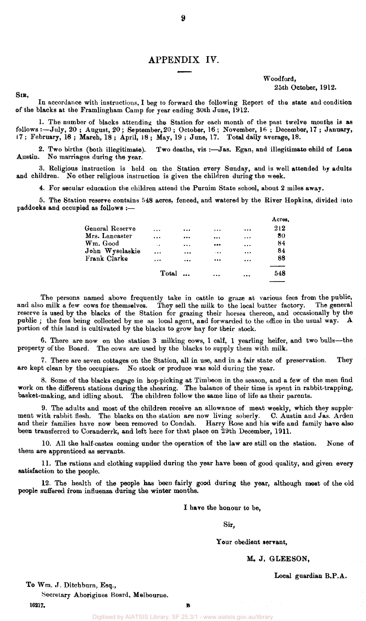#### APPENDIX IV.

Woodford, 25th October, 1912.

#### SIR,

In accordance with instructions, I beg to forward the following Report of the state and condition of the blacks at the Framlingham Camp for year ending 30th June, 1912.

1. The number of blacks attending the Station for each month of the past twelve months is as follows :—July, 20 ; August, 20 ; September, 20 ; October, 16 ; November, 16 ; December, 17 ; January, 17; February, 18 ; March, 18 ; April, 18 ; May, 19 ; June, 17. Total daily average, 18.

Two deaths, viz :- Jas. Egan, and illegitimate child of Lena 2. Two births (both illegitimate).<br>Austin. No marriages during the year.

3. Religious instruction is held on the Station every Sunday, and is well attended by adults and children. No other religious instruction is given the children during the week.

4. For secular education the children attend the Purnim State school, about 2 miles away.

5. The Station reserve contains 548 acres, fenced, and watered by the River Hopkins, divided into paddocks and occupied as follows :—

|           |           |               |           | Acres. |
|-----------|-----------|---------------|-----------|--------|
| $\ddotsc$ | $\bullet$ | $\cdots$      |           | 212    |
| $\ddotsc$ |           | $\cdots$      | $\cdots$  | 80     |
| $\cdots$  | $\cdots$  |               | $\cdots$  | 84     |
| $\ddotsc$ | $\cdots$  | $\cdot$ .     | $\cdots$  | 84     |
| $\ddotsc$ | $\cdots$  |               | $\cdots$  | 88     |
|           |           | $\ddotsc$     | $\ddotsc$ | 548    |
|           |           | $Total \dots$ |           |        |

The persons named above frequently take in cattle to graze at various fees from the public, and also milk a few cows for themselves. They sell the milk to the local butter factory. The general reserve is used by the blacks of the Station for grazing their horses thereon, and occasionally by the public ; the fees being collected by me as local agent, and forwarded to the office in the usual way. A portion of this land is cultivated by the blacks to grow hay for their stock.

6. There are now on the station 3 milking cows, 1 calf, 1 yearling heifer, and two bulls—the property of the Board. The cows are used by the blacks to supply them with milk.

7. There are seven cottages on the Station, all in use, and in a fair state of preservation. They are kept clean by the occupiers. No stock or produce was sold during the year.

8. Some of the blacks engage in hop-picking at Timboon in the season, and a few of the men find work on the different stations during the shearing. The balance of their time is spent in rabbit-trapping, basket-making, and idling about. The children follow the same line of life as their parents.

9. The adults and most of the children receive an allowance of meat weekly, which they supplement with rabbit flesh. The blacks on the station are now living soberly. C. Austin and Jas. Arden and their families have now been removed to Condah. Harry Rose and his wife and family have also been transferred to Coranderrk, and left here for that place on 29th December, 1911.

10. All the half-castes coming under the operation of the law are still on the station. None of them are apprenticed as servants.

11. The rations and clothing supplied during the year have been of good quality, and given every satisfaction to the people.

12. The health of the people has been fairly good during the year, although most of the old people suffered from influenza during the winter months.

I have the honour to be,

Sir,

Your obedient servant,

#### M. J. GLEESON,

Local guardian B.P.A.

To Wm. J. Ditchburn, Esq.,

Secretary Aborigines Board, Melbourne.

 $16217.$  B